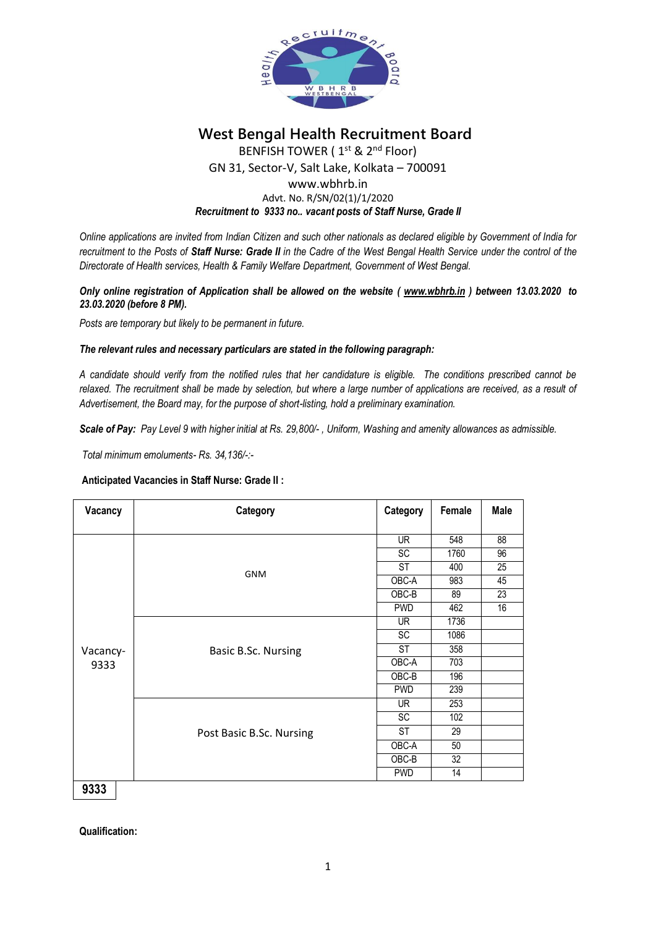

**West Bengal Health Recruitment Board**

BENFISH TOWER (1<sup>st</sup> & 2<sup>nd</sup> Floor)

GN 31, Sector-V, Salt Lake, Kolkata – 700091

## www.wbhrb.in Advt. No. R/SN/02(1)/1/2020 *Recruitment to 9333 no.. vacant posts of Staff Nurse, Grade II*

*Online applications are invited from Indian Citizen and such other nationals as declared eligible by Government of India for recruitment to the Posts of Staff Nurse: Grade II in the Cadre of the West Bengal Health Service under the control of the Directorate of Health services, Health & Family Welfare Department, Government of West Bengal.*

## *Only online registration of Application shall be allowed on the website ( [www.wbhrb.in](http://www.wbhrb.in/) ) between 13.03.2020 to 23.03.2020 (before 8 PM).*

*Posts are temporary but likely to be permanent in future.*

# *The relevant rules and necessary particulars are stated in the following paragraph:*

*A candidate should verify from the notified rules that her candidature is eligible. The conditions prescribed cannot be relaxed. The recruitment shall be made by selection, but where a large number of applications are received, as a result of Advertisement, the Board may, for the purpose of short-listing, hold a preliminary examination.*

*Scale of Pay: Pay Level 9 with higher initial at Rs. 29,800/- , Uniform, Washing and amenity allowances as admissible.*

*Total minimum emoluments- Rs. 34,136/-:-*

# **Anticipated Vacancies in Staff Nurse: Grade II :**

| Vacancy          | Category                 | Category        | Female          | <b>Male</b> |
|------------------|--------------------------|-----------------|-----------------|-------------|
|                  |                          |                 |                 |             |
| Vacancy-<br>9333 | <b>GNM</b>               | <b>UR</b>       | 548             | 88          |
|                  |                          | $\overline{SC}$ | 1760            | 96          |
|                  |                          | <b>ST</b>       | 400             | 25          |
|                  |                          | OBC-A           | 983             | 45          |
|                  |                          | OBC-B           | 89              | 23          |
|                  |                          | <b>PWD</b>      | 462             | 16          |
|                  | Basic B.Sc. Nursing      | UR.             | 1736            |             |
|                  |                          | SC              | 1086            |             |
|                  |                          | ST              | 358             |             |
|                  |                          | OBC-A           | 703             |             |
|                  |                          | $OBC-B$         | 196             |             |
|                  |                          | <b>PWD</b>      | 239             |             |
|                  | Post Basic B.Sc. Nursing | UR.             | 253             |             |
|                  |                          | SC              | 102             |             |
|                  |                          | ST              | 29              |             |
|                  |                          | OBC-A           | 50              |             |
|                  |                          | $OBC-B$         | $\overline{32}$ |             |
|                  |                          | <b>PWD</b>      | 14              |             |
| 9333             |                          |                 |                 |             |

**Qualification:**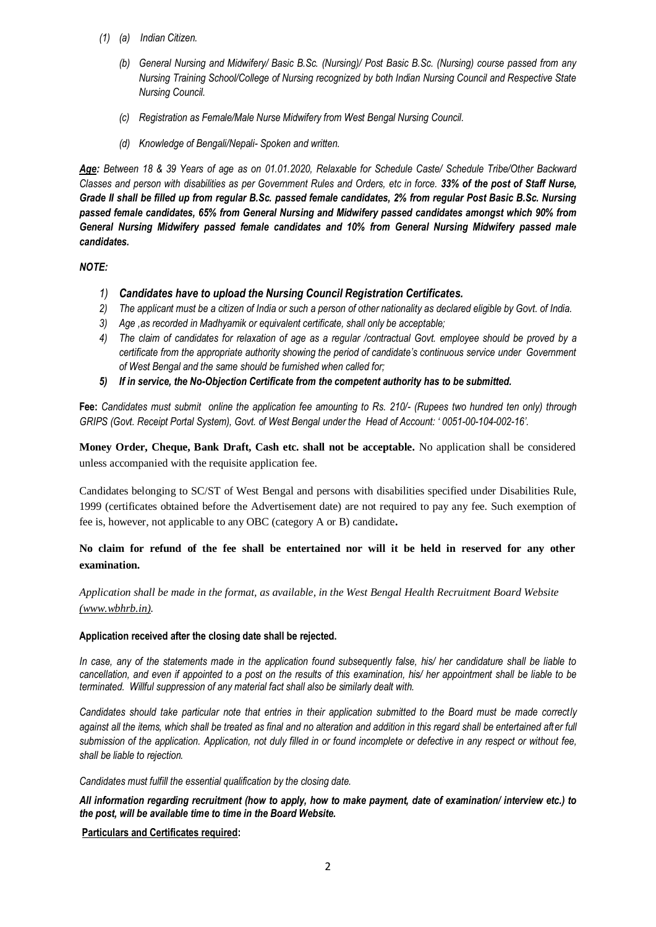- *(1) (a) Indian Citizen.*
	- *(b) General Nursing and Midwifery/ Basic B.Sc. (Nursing)/ Post Basic B.Sc. (Nursing) course passed from any Nursing Training School/College of Nursing recognized by both Indian Nursing Council and Respective State Nursing Council.*
	- *(c) Registration as Female/Male Nurse Midwifery from West Bengal Nursing Council.*
	- *(d) Knowledge of Bengali/Nepali- Spoken and written.*

*Age: Between 18 & 39 Years of age as on 01.01.2020, Relaxable for Schedule Caste/ Schedule Tribe/Other Backward Classes and person with disabilities as per Government Rules and Orders, etc in force. 33% of the post of Staff Nurse, Grade II shall be filled up from regular B.Sc. passed female candidates, 2% from regular Post Basic B.Sc. Nursing passed female candidates, 65% from General Nursing and Midwifery passed candidates amongst which 90% from General Nursing Midwifery passed female candidates and 10% from General Nursing Midwifery passed male candidates.*

## *NOTE:*

- *1) Candidates have to upload the Nursing Council Registration Certificates.*
- *2) The applicant must be a citizen of India or such a person of other nationality as declared eligible by Govt. of India.*
- *3) Age ,as recorded in Madhyamik or equivalent certificate, shall only be acceptable;*
- *4) The claim of candidates for relaxation of age as a regular /contractual Govt. employee should be proved by a certificate from the appropriate authority showing the period of candidate's continuous service under Government of West Bengal and the same should be furnished when called for;*
- *5) If in service, the No-Objection Certificate from the competent authority has to be submitted.*

**Fee:** *Candidates must submit online the application fee amounting to Rs. 210/- (Rupees two hundred ten only) through GRIPS (Govt. Receipt Portal System), Govt. of West Bengal under the Head of Account: ' 0051-00-104-002-16'.*

**Money Order, Cheque, Bank Draft, Cash etc. shall not be acceptable.** No application shall be considered unless accompanied with the requisite application fee.

Candidates belonging to SC/ST of West Bengal and persons with disabilities specified under Disabilities Rule, 1999 (certificates obtained before the Advertisement date) are not required to pay any fee. Such exemption of fee is, however, not applicable to any OBC (category A or B) candidate**.**

**No claim for refund of the fee shall be entertained nor will it be held in reserved for any other examination.**

*Application shall be made in the format, as available, in the West Bengal Health Recruitment Board Website [\(www.wbhrb.in\).](http://www.wbhrb.in/)*

#### **Application received after the closing date shall be rejected.**

*In case, any of the statements made in the application found subsequently false, his/ her candidature shall be liable to cancellation, and even if appointed to a post on the results of this examination, his/ her appointment shall be liable to be terminated. Willful suppression of any material fact shall also be similarly dealt with.* 

*Candidates should take particular note that entries in their application submitted to the Board must be made correctly against all the items, which shall be treated as final and no alteration and addition in this regard shall be entertained after full submission of the application. Application, not duly filled in or found incomplete or defective in any respect or without fee, shall be liable to rejection.*

#### *Candidates must fulfill the essential qualification by the closing date.*

*All information regarding recruitment (how to apply, how to make payment, date of examination/ interview etc.) to the post, will be available time to time in the Board Website.* 

**Particulars and Certificates required:**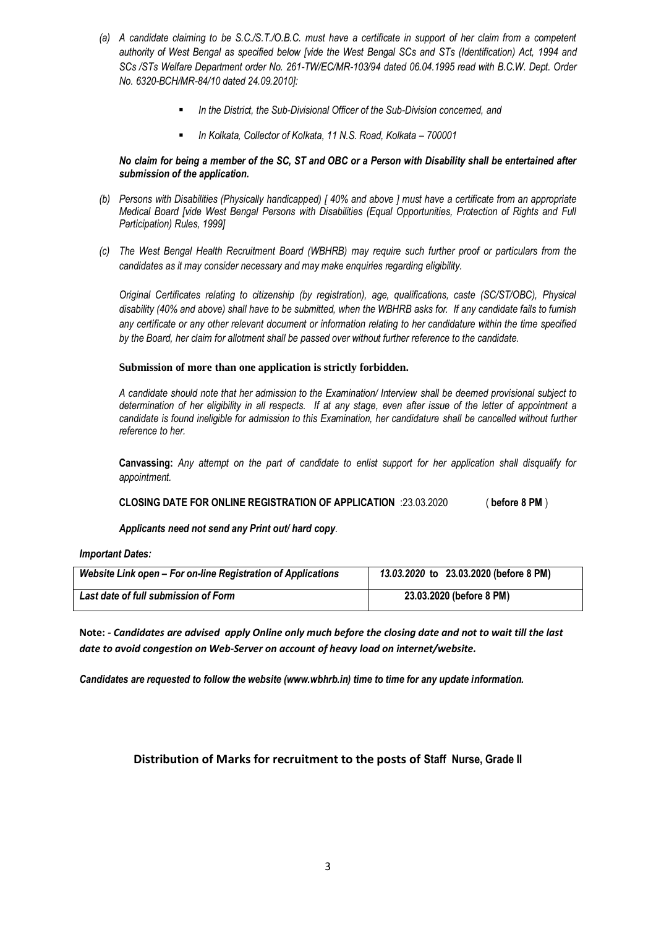- *(a) A candidate claiming to be S.C./S.T./O.B.C. must have a certificate in support of her claim from a competent authority of West Bengal as specified below [vide the West Bengal SCs and STs (Identification) Act, 1994 and SCs /STs Welfare Department order No. 261-TW/EC/MR-103/94 dated 06.04.1995 read with B.C.W. Dept. Order No. 6320-BCH/MR-84/10 dated 24.09.2010]:*
	- *In the District, the Sub-Divisional Officer of the Sub-Division concerned, and*
	- *In Kolkata, Collector of Kolkata, 11 N.S. Road, Kolkata – 700001*

## *No claim for being a member of the SC, ST and OBC or a Person with Disability shall be entertained after submission of the application.*

- *(b) Persons with Disabilities (Physically handicapped) [ 40% and above ] must have a certificate from an appropriate Medical Board [vide West Bengal Persons with Disabilities (Equal Opportunities, Protection of Rights and Full Participation) Rules, 1999]*
- *(c) The West Bengal Health Recruitment Board (WBHRB) may require such further proof or particulars from the candidates as it may consider necessary and may make enquiries regarding eligibility.*

*Original Certificates relating to citizenship (by registration), age, qualifications, caste (SC/ST/OBC), Physical disability (40% and above) shall have to be submitted, when the WBHRB asks for. If any candidate fails to furnish any certificate or any other relevant document or information relating to her candidature within the time specified by the Board, her claim for allotment shall be passed over without further reference to the candidate.*

## **Submission of more than one application is strictly forbidden.**

*A candidate should note that her admission to the Examination/ Interview shall be deemed provisional subject to determination of her eligibility in all respects. If at any stage, even after issue of the letter of appointment a candidate is found ineligible for admission to this Examination, her candidature shall be cancelled without further reference to her.*

**Canvassing:** *Any attempt on the part of candidate to enlist support for her application shall disqualify for appointment.* 

**CLOSING DATE FOR ONLINE REGISTRATION OF APPLICATION** :23.03.2020 ( **before 8 PM** )

*Applicants need not send any Print out/ hard copy*.

*Important Dates:*

| Website Link open - For on-line Registration of Applications | 13.03.2020 to 23.03.2020 (before 8 PM) |
|--------------------------------------------------------------|----------------------------------------|
| Last date of full submission of Form                         | 23.03.2020 (before 8 PM)               |

**Note:** *- Candidates are advised apply Online only much before the closing date and not to wait till the last date to avoid congestion on Web-Server on account of heavy load on internet/website.*

*Candidates are requested to follow the website (www.wbhrb.in) time to time for any update information.*

# **Distribution of Marks for recruitment to the posts of Staff Nurse, Grade II**